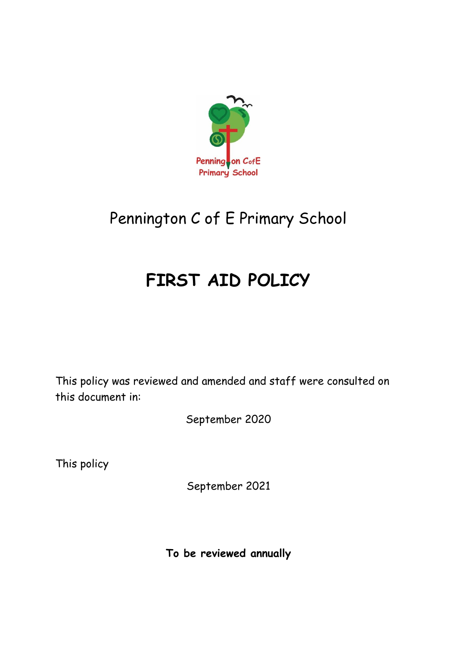

# Pennington C of E Primary School

# **FIRST AID POLICY**

This policy was reviewed and amended and staff were consulted on this document in:

September 2020

This policy

September 2021

**To be reviewed annually**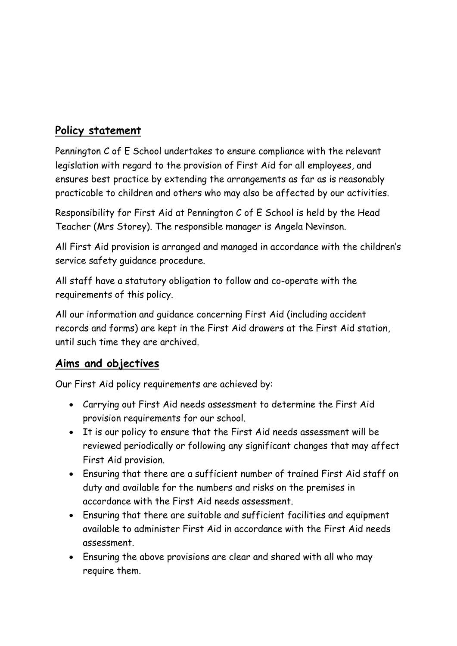# **Policy statement**

Pennington C of E School undertakes to ensure compliance with the relevant legislation with regard to the provision of First Aid for all employees, and ensures best practice by extending the arrangements as far as is reasonably practicable to children and others who may also be affected by our activities.

Responsibility for First Aid at Pennington C of E School is held by the Head Teacher (Mrs Storey). The responsible manager is Angela Nevinson.

All First Aid provision is arranged and managed in accordance with the children's service safety guidance procedure.

All staff have a statutory obligation to follow and co-operate with the requirements of this policy.

All our information and guidance concerning First Aid (including accident records and forms) are kept in the First Aid drawers at the First Aid station, until such time they are archived.

## **Aims and objectives**

Our First Aid policy requirements are achieved by:

- Carrying out First Aid needs assessment to determine the First Aid provision requirements for our school.
- It is our policy to ensure that the First Aid needs assessment will be reviewed periodically or following any significant changes that may affect First Aid provision.
- Ensuring that there are a sufficient number of trained First Aid staff on duty and available for the numbers and risks on the premises in accordance with the First Aid needs assessment.
- Ensuring that there are suitable and sufficient facilities and equipment available to administer First Aid in accordance with the First Aid needs assessment.
- Ensuring the above provisions are clear and shared with all who may require them.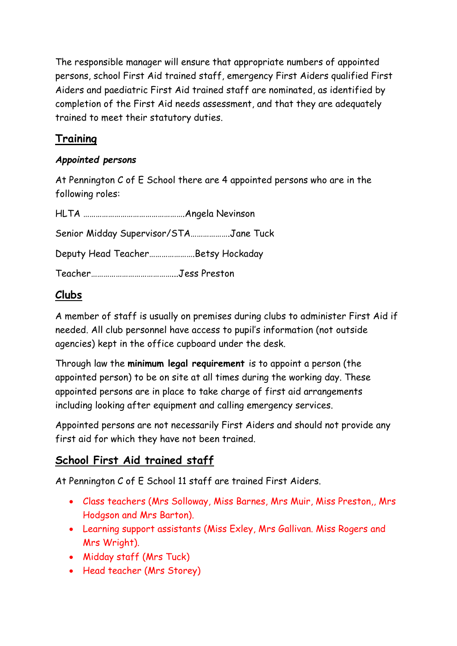The responsible manager will ensure that appropriate numbers of appointed persons, school First Aid trained staff, emergency First Aiders qualified First Aiders and paediatric First Aid trained staff are nominated, as identified by completion of the First Aid needs assessment, and that they are adequately trained to meet their statutory duties.

# **Training**

## *Appointed persons*

At Pennington C of E School there are 4 appointed persons who are in the following roles:

| Senior Midday Supervisor/STAJane Tuck |  |
|---------------------------------------|--|
| Deputy Head TeacherBetsy Hockaday     |  |
|                                       |  |

# **Clubs**

A member of staff is usually on premises during clubs to administer First Aid if needed. All club personnel have access to pupil's information (not outside agencies) kept in the office cupboard under the desk.

Through law the **minimum legal requirement** is to appoint a person (the appointed person) to be on site at all times during the working day. These appointed persons are in place to take charge of first aid arrangements including looking after equipment and calling emergency services.

Appointed persons are not necessarily First Aiders and should not provide any first aid for which they have not been trained.

## **School First Aid trained staff**

At Pennington C of E School 11 staff are trained First Aiders.

- Class teachers (Mrs Solloway, Miss Barnes, Mrs Muir, Miss Preston,, Mrs Hodgson and Mrs Barton).
- Learning support assistants (Miss Exley, Mrs Gallivan. Miss Rogers and Mrs Wright).
- Midday staff (Mrs Tuck)
- Head teacher (Mrs Storey)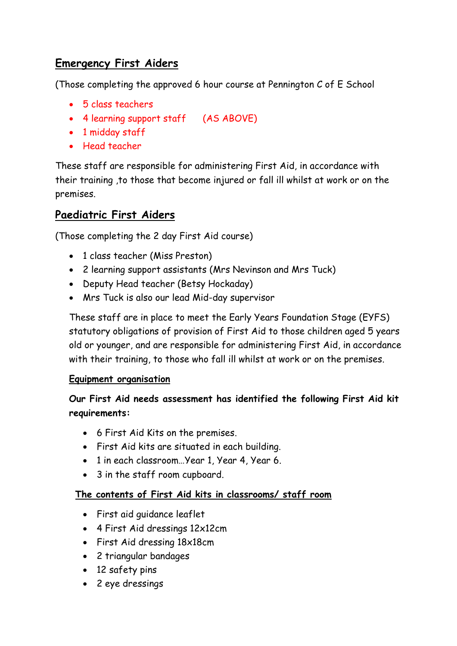# **Emergency First Aiders**

(Those completing the approved 6 hour course at Pennington C of E School

- 5 class teachers
- 4 learning support staff (AS ABOVE)
- 1 midday staff
- Head teacher

These staff are responsible for administering First Aid, in accordance with their training ,to those that become injured or fall ill whilst at work or on the premises.

# **Paediatric First Aiders**

(Those completing the 2 day First Aid course)

- 1 class teacher (Miss Preston)
- 2 learning support assistants (Mrs Nevinson and Mrs Tuck)
- Deputy Head teacher (Betsy Hockaday)
- Mrs Tuck is also our lead Mid-day supervisor

These staff are in place to meet the Early Years Foundation Stage (EYFS) statutory obligations of provision of First Aid to those children aged 5 years old or younger, and are responsible for administering First Aid, in accordance with their training, to those who fall ill whilst at work or on the premises.

### **Equipment organisation**

## **Our First Aid needs assessment has identified the following First Aid kit requirements:**

- 6 First Aid Kits on the premises.
- First Aid kits are situated in each building.
- 1 in each classroom…Year 1, Year 4, Year 6.
- 3 in the staff room cupboard.

### **The contents of First Aid kits in classrooms/ staff room**

- First aid guidance leaflet
- 4 First Aid dressings 12x12cm
- First Aid dressing 18x18cm
- 2 triangular bandages
- 12 safety pins
- 2 eye dressings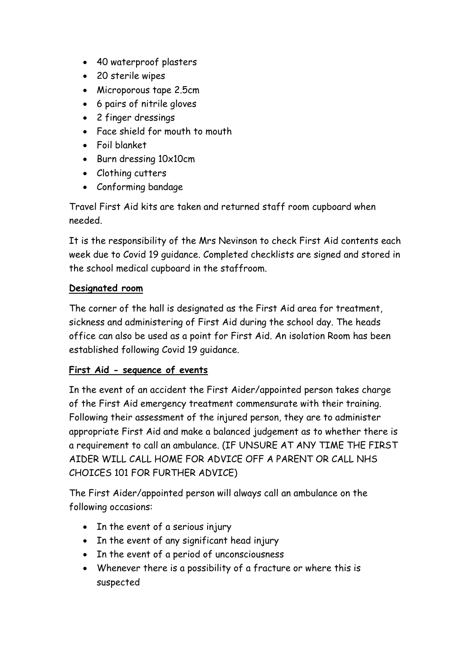- 40 waterproof plasters
- 20 sterile wipes
- Microporous tape 2.5cm
- 6 pairs of nitrile gloves
- 2 finger dressings
- Face shield for mouth to mouth
- Foil blanket
- Burn dressing 10x10cm
- Clothing cutters
- Conforming bandage

Travel First Aid kits are taken and returned staff room cupboard when needed.

It is the responsibility of the Mrs Nevinson to check First Aid contents each week due to Covid 19 guidance. Completed checklists are signed and stored in the school medical cupboard in the staffroom.

## **Designated room**

The corner of the hall is designated as the First Aid area for treatment, sickness and administering of First Aid during the school day. The heads office can also be used as a point for First Aid. An isolation Room has been established following Covid 19 guidance.

## **First Aid - sequence of events**

In the event of an accident the First Aider/appointed person takes charge of the First Aid emergency treatment commensurate with their training. Following their assessment of the injured person, they are to administer appropriate First Aid and make a balanced judgement as to whether there is a requirement to call an ambulance. (IF UNSURE AT ANY TIME THE FIRST AIDER WILL CALL HOME FOR ADVICE OFF A PARENT OR CALL NHS CHOICES 101 FOR FURTHER ADVICE)

The First Aider/appointed person will always call an ambulance on the following occasions:

- In the event of a serious injury
- In the event of any significant head injury
- In the event of a period of unconsciousness
- Whenever there is a possibility of a fracture or where this is suspected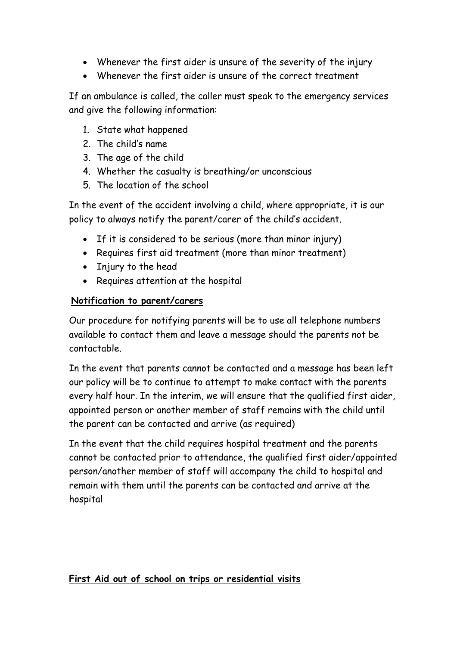- Whenever the first aider is unsure of the severity of the injury
- Whenever the first aider is unsure of the correct treatment

If an ambulance is called, the caller must speak to the emergency services and give the following information:

- 1. State what happened
- 2. The child's name
- 3. The age of the child
- 4. Whether the casualty is breathing/or unconscious
- 5. The location of the school

In the event of the accident involving a child, where appropriate, it is our policy to always notify the parent/carer of the child's accident.

- If it is considered to be serious (more than minor injury)
- Requires first aid treatment (more than minor treatment)
- Injury to the head
- Requires attention at the hospital

### **Notification to parent/carers**

Our procedure for notifying parents will be to use all telephone numbers available to contact them and leave a message should the parents not be contactable.

In the event that parents cannot be contacted and a message has been left our policy will be to continue to attempt to make contact with the parents every half hour. In the interim, we will ensure that the qualified first aider, appointed person or another member of staff remains with the child until the parent can be contacted and arrive (as required)

In the event that the child requires hospital treatment and the parents cannot be contacted prior to attendance, the qualified first aider/appointed person/another member of staff will accompany the child to hospital and remain with them until the parents can be contacted and arrive at the hospital

### **First Aid out of school on trips or residential visits**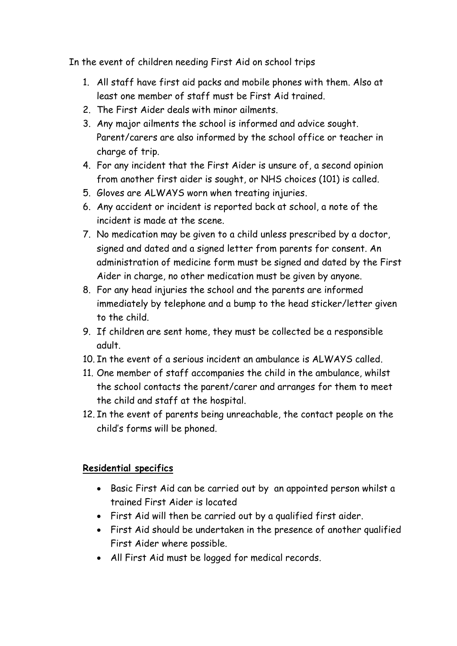In the event of children needing First Aid on school trips

- 1. All staff have first aid packs and mobile phones with them. Also at least one member of staff must be First Aid trained.
- 2. The First Aider deals with minor ailments.
- 3. Any major ailments the school is informed and advice sought. Parent/carers are also informed by the school office or teacher in charge of trip.
- 4. For any incident that the First Aider is unsure of, a second opinion from another first aider is sought, or NHS choices (101) is called.
- 5. Gloves are ALWAYS worn when treating injuries.
- 6. Any accident or incident is reported back at school, a note of the incident is made at the scene.
- 7. No medication may be given to a child unless prescribed by a doctor, signed and dated and a signed letter from parents for consent. An administration of medicine form must be signed and dated by the First Aider in charge, no other medication must be given by anyone.
- 8. For any head injuries the school and the parents are informed immediately by telephone and a bump to the head sticker/letter given to the child.
- 9. If children are sent home, they must be collected be a responsible adult.
- 10. In the event of a serious incident an ambulance is ALWAYS called.
- 11. One member of staff accompanies the child in the ambulance, whilst the school contacts the parent/carer and arranges for them to meet the child and staff at the hospital.
- 12. In the event of parents being unreachable, the contact people on the child's forms will be phoned.

## **Residential specifics**

- Basic First Aid can be carried out by an appointed person whilst a trained First Aider is located
- First Aid will then be carried out by a qualified first aider.
- First Aid should be undertaken in the presence of another qualified First Aider where possible.
- All First Aid must be logged for medical records.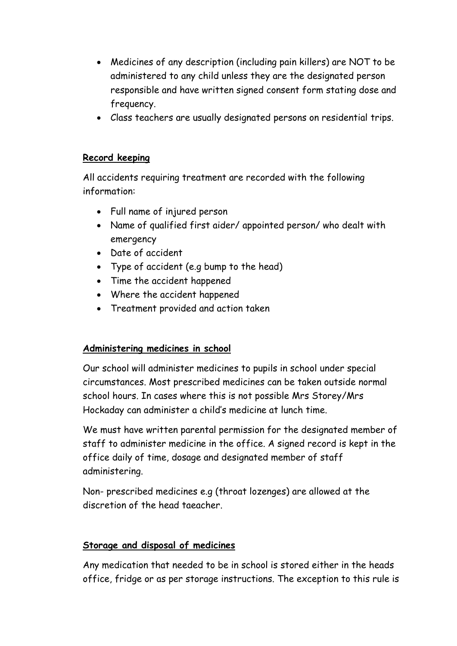- Medicines of any description (including pain killers) are NOT to be administered to any child unless they are the designated person responsible and have written signed consent form stating dose and frequency.
- Class teachers are usually designated persons on residential trips.

### **Record keeping**

All accidents requiring treatment are recorded with the following information:

- Full name of injured person
- Name of qualified first aider/ appointed person/ who dealt with emergency
- Date of accident
- Type of accident (e.g bump to the head)
- Time the accident happened
- Where the accident happened
- Treatment provided and action taken

### **Administering medicines in school**

Our school will administer medicines to pupils in school under special circumstances. Most prescribed medicines can be taken outside normal school hours. In cases where this is not possible Mrs Storey/Mrs Hockaday can administer a child's medicine at lunch time.

We must have written parental permission for the designated member of staff to administer medicine in the office. A signed record is kept in the office daily of time, dosage and designated member of staff administering.

Non- prescribed medicines e.g (throat lozenges) are allowed at the discretion of the head taeacher.

#### **Storage and disposal of medicines**

Any medication that needed to be in school is stored either in the heads office, fridge or as per storage instructions. The exception to this rule is